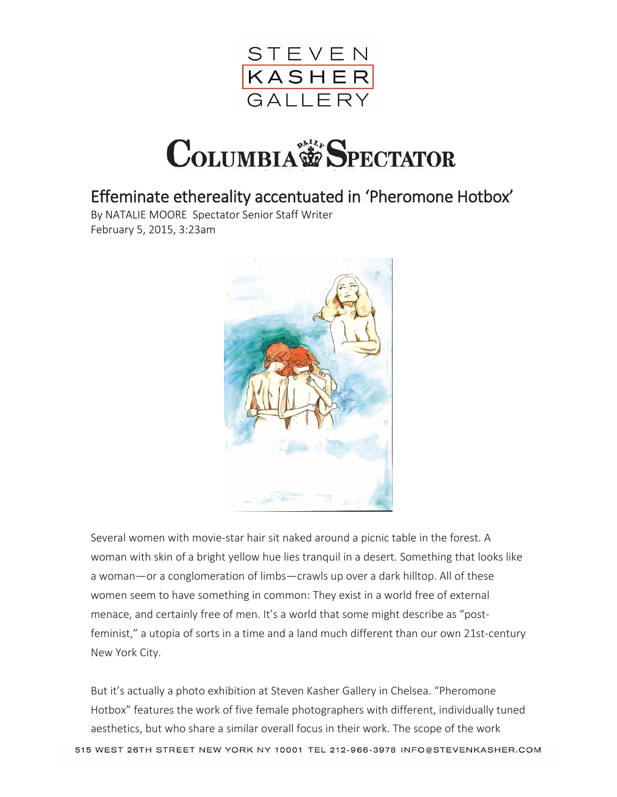

## **COLUMBIA SPECTATOR**

## Effeminate ethereality accentuated in 'Pheromone Hotbox'

By NATALIE MOORE Spectator Senior Staff Writer February 5, 2015, 3:23am



Several women with movie-star hair sit naked around a picnic table in the forest. A woman with skin of a bright yellow hue lies tranquil in a desert. Something that looks like a woman—or a conglomeration of limbs—crawls up over a dark hilltop. All of these women seem to have something in common: They exist in a world free of external menace, and certainly free of men. It's a world that some might describe as "postfeminist," a utopia of sorts in a time and a land much different than our own 21st-century New York City.

But it's actually a photo exhibition at Steven Kasher Gallery in Chelsea. "Pheromone Hotbox" features the work of five female photographers with different, individually tuned aesthetics, but who share a similar overall focus in their work. The scope of the work 515 WEST 26TH STREET NEW YORK NY 10001 TEL 212-966-3978 INFO@STEVENKASHER.COM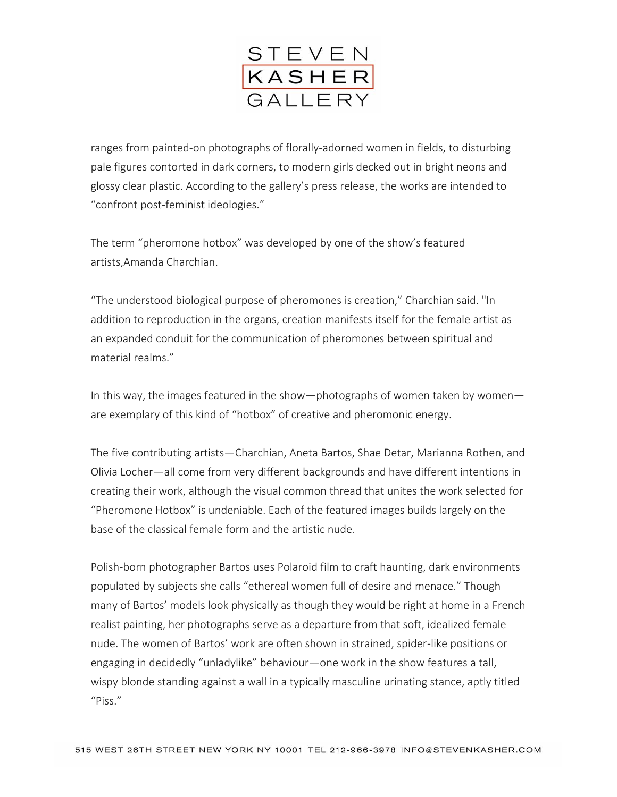

ranges from painted-on photographs of florally-adorned women in fields, to disturbing pale figures contorted in dark corners, to modern girls decked out in bright neons and glossy clear plastic. According to the gallery's press release, the works are intended to "confront post-feminist ideologies."

The term "pheromone hotbox" was developed by one of the show's featured artists,Amanda Charchian.

"The understood biological purpose of pheromones is creation," Charchian said. "In addition to reproduction in the organs, creation manifests itself for the female artist as an expanded conduit for the communication of pheromones between spiritual and material realms."

In this way, the images featured in the show—photographs of women taken by women are exemplary of this kind of "hotbox" of creative and pheromonic energy.

The five contributing artists—Charchian, Aneta Bartos, Shae Detar, Marianna Rothen, and Olivia Locher—all come from very different backgrounds and have different intentions in creating their work, although the visual common thread that unites the work selected for "Pheromone Hotbox" is undeniable. Each of the featured images builds largely on the base of the classical female form and the artistic nude.

Polish-born photographer Bartos uses Polaroid film to craft haunting, dark environments populated by subjects she calls "ethereal women full of desire and menace." Though many of Bartos' models look physically as though they would be right at home in a French realist painting, her photographs serve as a departure from that soft, idealized female nude. The women of Bartos' work are often shown in strained, spider-like positions or engaging in decidedly "unladylike" behaviour—one work in the show features a tall, wispy blonde standing against a wall in a typically masculine urinating stance, aptly titled "Piss."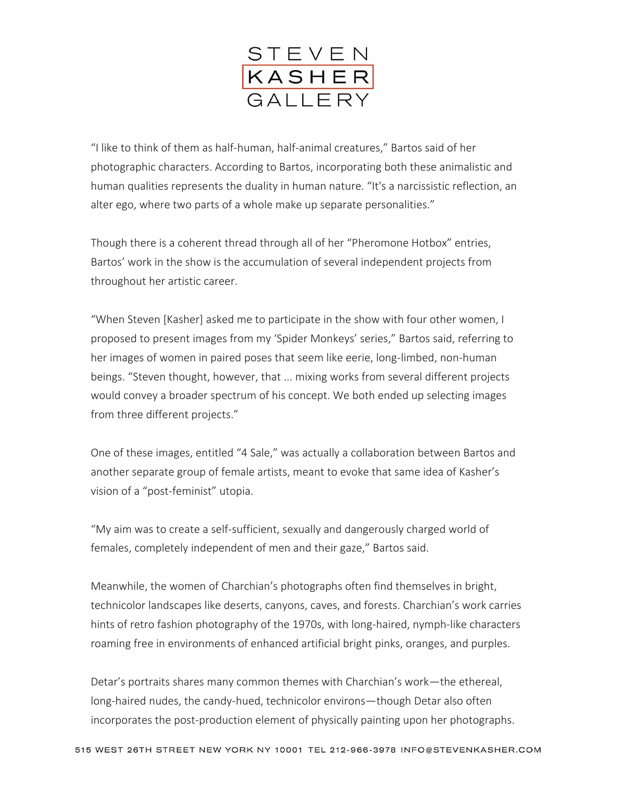

"I like to think of them as half-human, half-animal creatures," Bartos said of her photographic characters. According to Bartos, incorporating both these animalistic and human qualities represents the duality in human nature. "It's a narcissistic reflection, an alter ego, where two parts of a whole make up separate personalities."

Though there is a coherent thread through all of her "Pheromone Hotbox" entries, Bartos' work in the show is the accumulation of several independent projects from throughout her artistic career.

"When Steven [Kasher] asked me to participate in the show with four other women, I proposed to present images from my 'Spider Monkeys' series," Bartos said, referring to her images of women in paired poses that seem like eerie, long-limbed, non-human beings. "Steven thought, however, that ... mixing works from several different projects would convey a broader spectrum of his concept. We both ended up selecting images from three different projects."

One of these images, entitled "4 Sale," was actually a collaboration between Bartos and another separate group of female artists, meant to evoke that same idea of Kasher's vision of a "post-feminist" utopia.

"My aim was to create a self-sufficient, sexually and dangerously charged world of females, completely independent of men and their gaze," Bartos said.

Meanwhile, the women of Charchian's photographs often find themselves in bright, technicolor landscapes like deserts, canyons, caves, and forests. Charchian's work carries hints of retro fashion photography of the 1970s, with long-haired, nymph-like characters roaming free in environments of enhanced artificial bright pinks, oranges, and purples.

Detar's portraits shares many common themes with Charchian's work—the ethereal, long-haired nudes, the candy-hued, technicolor environs—though Detar also often incorporates the post-production element of physically painting upon her photographs.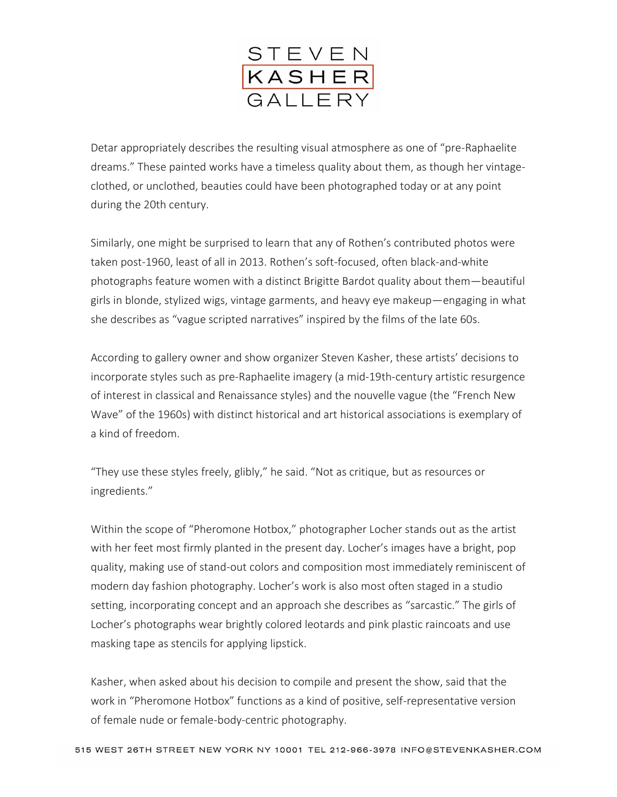

Detar appropriately describes the resulting visual atmosphere as one of "pre-Raphaelite dreams." These painted works have a timeless quality about them, as though her vintageclothed, or unclothed, beauties could have been photographed today or at any point during the 20th century.

Similarly, one might be surprised to learn that any of Rothen's contributed photos were taken post-1960, least of all in 2013. Rothen's soft-focused, often black-and-white photographs feature women with a distinct Brigitte Bardot quality about them—beautiful girls in blonde, stylized wigs, vintage garments, and heavy eye makeup—engaging in what she describes as "vague scripted narratives" inspired by the films of the late 60s.

According to gallery owner and show organizer Steven Kasher, these artists' decisions to incorporate styles such as pre-Raphaelite imagery (a mid-19th-century artistic resurgence of interest in classical and Renaissance styles) and the nouvelle vague (the "French New Wave" of the 1960s) with distinct historical and art historical associations is exemplary of a kind of freedom.

"They use these styles freely, glibly," he said. "Not as critique, but as resources or ingredients."

Within the scope of "Pheromone Hotbox," photographer Locher stands out as the artist with her feet most firmly planted in the present day. Locher's images have a bright, pop quality, making use of stand-out colors and composition most immediately reminiscent of modern day fashion photography. Locher's work is also most often staged in a studio setting, incorporating concept and an approach she describes as "sarcastic." The girls of Locher's photographs wear brightly colored leotards and pink plastic raincoats and use masking tape as stencils for applying lipstick.

Kasher, when asked about his decision to compile and present the show, said that the work in "Pheromone Hotbox" functions as a kind of positive, self-representative version of female nude or female-body-centric photography.